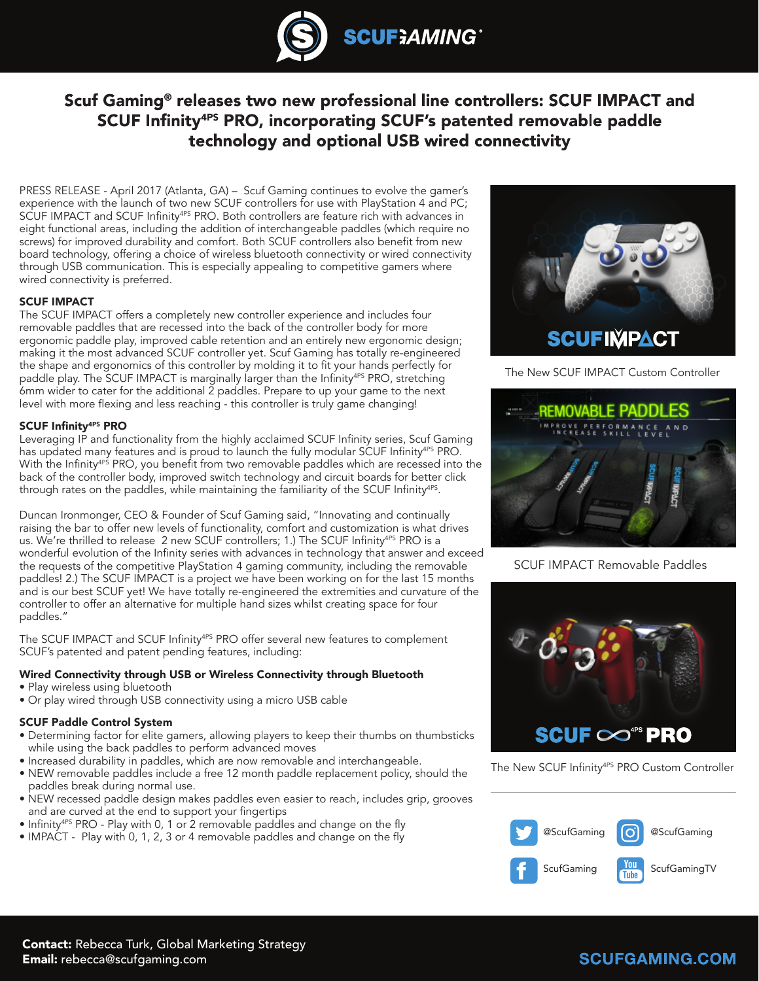

# Scuf Gaming<sup>®</sup> releases two new professional line controllers: SCUF IMPACT and SCUF Infinity<sup>4PS</sup> PRO, incorporating SCUF's patented removable paddle technology and optional USB wired connectivity

PRESS RELEASE - April 2017 (Atlanta, GA) – Scuf Gaming continues to evolve the gamer's experience with the launch of two new SCUF controllers for use with PlayStation 4 and PC; SCUF IMPACT and SCUF Infinity<sup>4PS</sup> PRO. Both controllers are feature rich with advances in eight functional areas, including the addition of interchangeable paddles (which require no screws) for improved durability and comfort. Both SCUF controllers also benefit from new board technology, offering a choice of wireless bluetooth connectivity or wired connectivity through USB communication. This is especially appealing to competitive gamers where wired connectivity is preferred.

## SCUF IMPACT

The SCUF IMPACT offers a completely new controller experience and includes four removable paddles that are recessed into the back of the controller body for more ergonomic paddle play, improved cable retention and an entirely new ergonomic design; making it the most advanced SCUF controller yet. Scuf Gaming has totally re-engineered the shape and ergonomics of this controller by molding it to fit your hands perfectly for paddle play. The SCUF IMPACT is marginally larger than the Infinity<sup>4PS</sup> PRO, stretching 6mm wider to cater for the additional 2 paddles. Prepare to up your game to the next level with more flexing and less reaching - this controller is truly game changing!

## SCUF Infinity4PS PRO

Leveraging IP and functionality from the highly acclaimed SCUF Infinity series, Scuf Gaming has updated many features and is proud to launch the fully modular SCUF Infinity<sup>4PS</sup> PRO. With the Infinity<sup>4PS</sup> PRO, you benefit from two removable paddles which are recessed into the back of the controller body, improved switch technology and circuit boards for better click through rates on the paddles, while maintaining the familiarity of the SCUF Infinity<sup>4PS</sup>.

Duncan Ironmonger, CEO & Founder of Scuf Gaming said, "Innovating and continually raising the bar to offer new levels of functionality, comfort and customization is what drives us. We're thrilled to release 2 new SCUF controllers; 1.) The SCUF Infinity<sup>4PS</sup> PRO is a wonderful evolution of the Infinity series with advances in technology that answer and exceed the requests of the competitive PlayStation 4 gaming community, including the removable paddles! 2.) The SCUF IMPACT is a project we have been working on for the last 15 months and is our best SCUF yet! We have totally re-engineered the extremities and curvature of the controller to offer an alternative for multiple hand sizes whilst creating space for four paddles."

The SCUF IMPACT and SCUF Infinity<sup>4PS</sup> PRO offer several new features to complement SCUF's patented and patent pending features, including:

#### Wired Connectivity through USB or Wireless Connectivity through Bluetooth

- Play wireless using bluetooth
- Or play wired through USB connectivity using a micro USB cable

#### SCUF Paddle Control System

- Determining factor for elite gamers, allowing players to keep their thumbs on thumbsticks while using the back paddles to perform advanced moves
- Increased durability in paddles, which are now removable and interchangeable.
- NEW removable paddles include a free 12 month paddle replacement policy, should the paddles break during normal use.
- NEW recessed paddle design makes paddles even easier to reach, includes grip, grooves and are curved at the end to support your fingertips
- Infinity4PS PRO Play with 0, 1 or 2 removable paddles and change on the fly
- IMPACT Play with 0, 1, 2, 3 or 4 removable paddles and change on the fly



The New SCUF IMPACT Custom Controller



SCUF IMPACT Removable Paddles



The New SCUF Infinity<sup>4PS</sup> PRO Custom Controller



## **SCUFGAMING.COM**